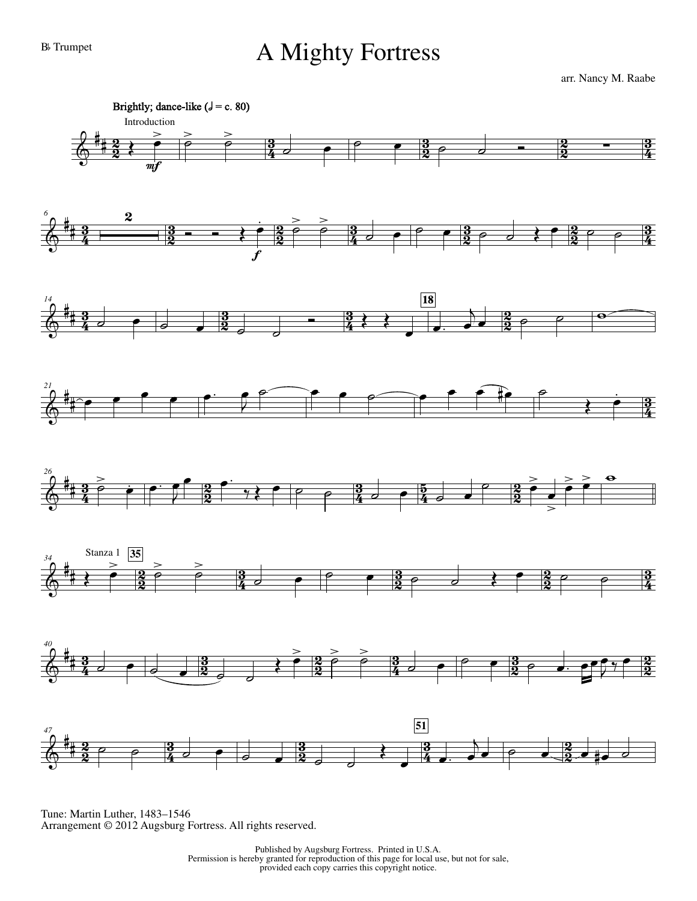## B<sub>b</sub> Trumpet A Mighty Fortress

arr. Nancy M. Raabe



Tune: Martin Luther, 1483–1546 Arrangement © 2012 Augsburg Fortress. All rights reserved.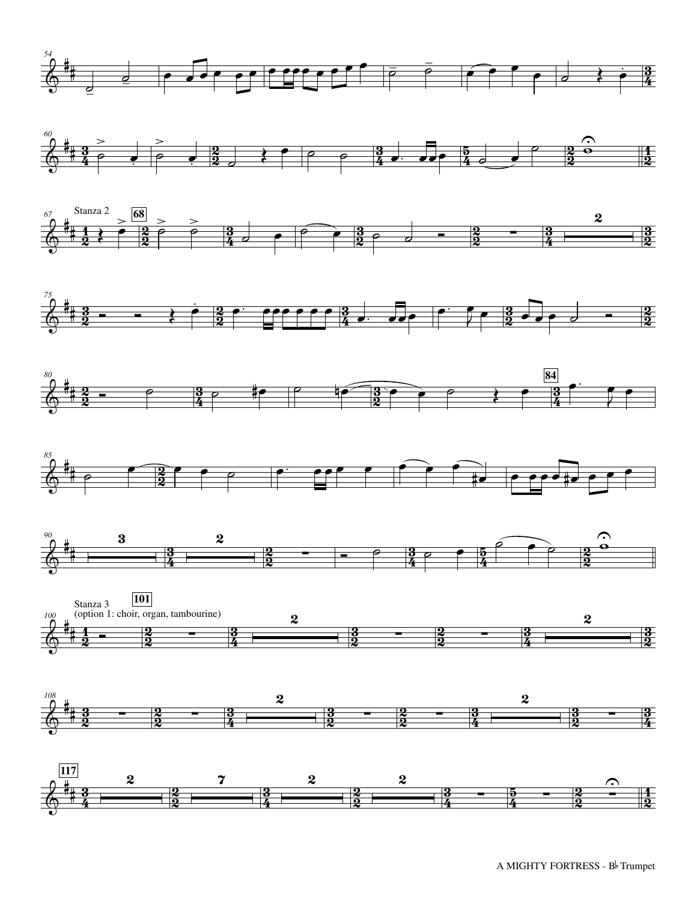